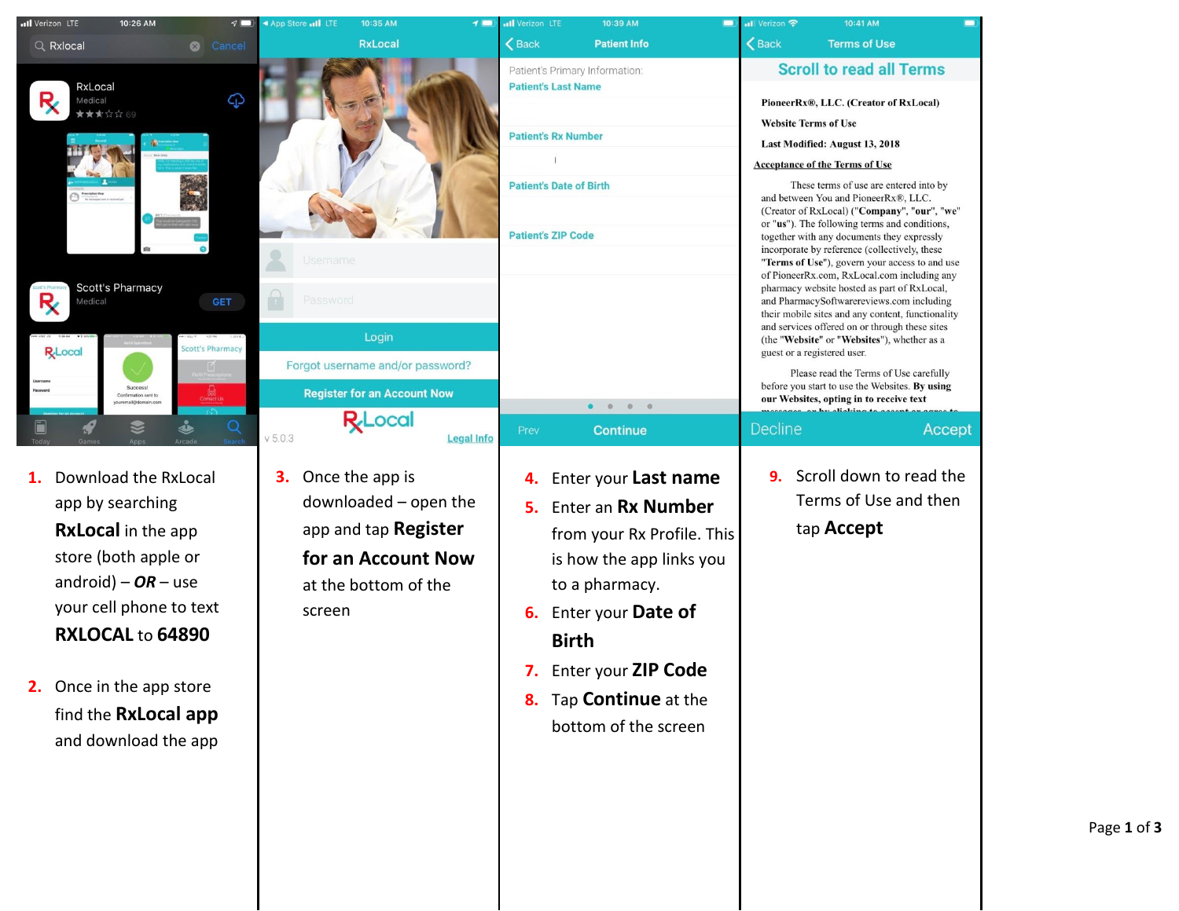| all Verizon LTE                                                                                    | 10:26 AM                                                                                                                                                                 |                                            | ◀ App Store II LTE<br>10:35 AM                                                                                                            |                   | all Verizon LTE                                                                                                         | 10:39 AM                                                                                                                                                                                                                  | <b>Il</b> Verizon 우                                        | 10:41 AM                                                                                                                                                                                                                                                                                                                                                                                                                                                                                                                                                                                                                                                                                                                                                                                                                                                                                                                        |        |
|----------------------------------------------------------------------------------------------------|--------------------------------------------------------------------------------------------------------------------------------------------------------------------------|--------------------------------------------|-------------------------------------------------------------------------------------------------------------------------------------------|-------------------|-------------------------------------------------------------------------------------------------------------------------|---------------------------------------------------------------------------------------------------------------------------------------------------------------------------------------------------------------------------|------------------------------------------------------------|---------------------------------------------------------------------------------------------------------------------------------------------------------------------------------------------------------------------------------------------------------------------------------------------------------------------------------------------------------------------------------------------------------------------------------------------------------------------------------------------------------------------------------------------------------------------------------------------------------------------------------------------------------------------------------------------------------------------------------------------------------------------------------------------------------------------------------------------------------------------------------------------------------------------------------|--------|
| Q Rxlocal                                                                                          |                                                                                                                                                                          | Cancel                                     | <b>RxLocal</b>                                                                                                                            |                   | <b>くBack</b>                                                                                                            | <b>Patient Info</b>                                                                                                                                                                                                       | <b>くBack</b>                                               | <b>Terms of Use</b>                                                                                                                                                                                                                                                                                                                                                                                                                                                                                                                                                                                                                                                                                                                                                                                                                                                                                                             |        |
| RxLocal<br>R,<br>Medical<br>★★★☆☆ 69<br><b>Scott's Pharmacy</b><br>R,<br>Medical<br><b>R</b> Local | Success!<br>Confirmation sent to<br>mail@domain.com                                                                                                                      | ⊕<br><b>GET</b><br><b>Scott's Pharmacy</b> | <b>Jsername</b><br>Password<br>Login<br>Forgot username and/or password?<br><b>Register for an Account Now</b>                            |                   | <b>Patient's Last Name</b><br><b>Patient's Rx Number</b><br><b>Patient's Date of Birth</b><br><b>Patient's ZIP Code</b> | Patient's Primary Information:                                                                                                                                                                                            | <b>Website Terms of Use</b><br>guest or a registered user. | <b>Scroll to read all Terms</b><br>PioneerRx®, LLC. (Creator of RxLocal)<br>Last Modified: August 13, 2018<br><b>Acceptance of the Terms of Use</b><br>These terms of use are entered into by<br>and between You and PioneerRx®, LLC.<br>(Creator of RxLocal) ("Company", "our", "we"<br>or "us"). The following terms and conditions,<br>together with any documents they expressly<br>incorporate by reference (collectively, these<br>"Terms of Use"), govern your access to and use<br>of PioneerRx.com, RxLocal.com including any<br>pharmacy website hosted as part of RxLocal,<br>and PharmacySoftwarereviews.com including<br>their mobile sites and any content, functionality<br>and services offered on or through these sites<br>(the "Website" or "Websites"), whether as a<br>Please read the Terms of Use carefully<br>before you start to use the Websites. By using<br>our Websites, opting in to receive text |        |
| Ē                                                                                                  | Z<br><b>JD</b>                                                                                                                                                           |                                            | <b>R</b> Local                                                                                                                            |                   | Prev                                                                                                                    | $\begin{array}{ccccccccccccccccc} \bullet & \circ & \circ & \circ & \circ & \circ & \circ \end{array}$<br><b>Continue</b>                                                                                                 | Decline                                                    |                                                                                                                                                                                                                                                                                                                                                                                                                                                                                                                                                                                                                                                                                                                                                                                                                                                                                                                                 | Accept |
| app by searching<br>android) – $OR$ – use<br>Once in the app store                                 | Download the RxLocal<br><b>RxLocal</b> in the app<br>store (both apple or<br>your cell phone to text<br>RXLOCAL to 64890<br>find the RxLocal app<br>and download the app |                                            | V 5.0.3<br>Once the app is<br>3.<br>downloaded - open the<br>app and tap Register<br>for an Account Now<br>at the bottom of the<br>screen | <b>Legal Info</b> | 4.<br>5.<br>6.<br><b>Birth</b><br>7.<br>8.                                                                              | Enter your Last name<br>Enter an Rx Number<br>from your Rx Profile. This<br>is how the app links you<br>to a pharmacy.<br>Enter your Date of<br>Enter your ZIP Code<br>Tap <b>Continue</b> at the<br>bottom of the screen | 9.                                                         | Scroll down to read the<br>Terms of Use and then<br>tap <b>Accept</b>                                                                                                                                                                                                                                                                                                                                                                                                                                                                                                                                                                                                                                                                                                                                                                                                                                                           |        |

all Verizon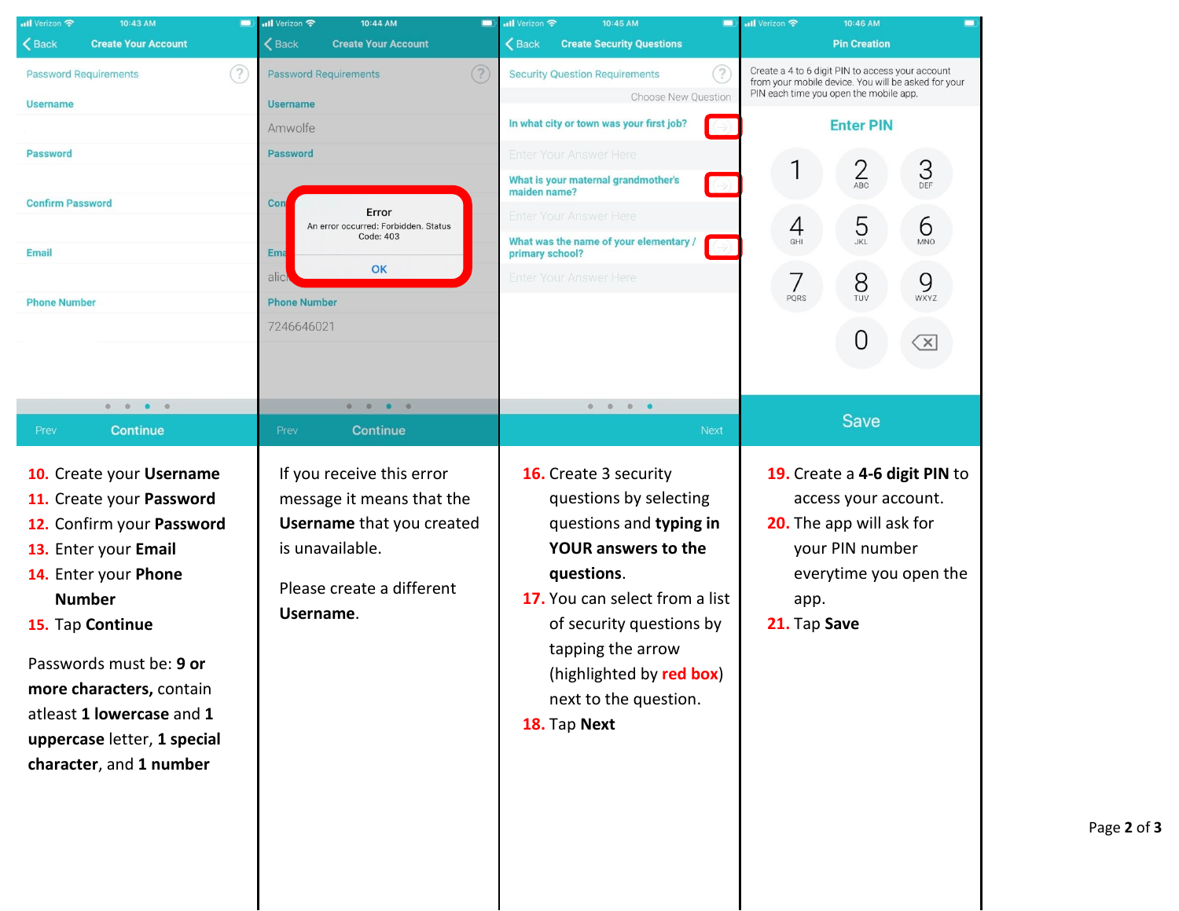| nil Verizon <b>수</b><br>10:43 AM<br>$\Box$                                                                                                                                                                                                                                                                           | $\overline{\mathbf{H}}$ Verizon<br>10:44 AM                                                                                                             | <b>O all Verizon 후</b><br>10:45 AM                                                                                                                                                                                                                                             | <b>III</b> Verizon 후<br>10:46 AM<br>$\blacksquare$                                                                                                     |  |  |
|----------------------------------------------------------------------------------------------------------------------------------------------------------------------------------------------------------------------------------------------------------------------------------------------------------------------|---------------------------------------------------------------------------------------------------------------------------------------------------------|--------------------------------------------------------------------------------------------------------------------------------------------------------------------------------------------------------------------------------------------------------------------------------|--------------------------------------------------------------------------------------------------------------------------------------------------------|--|--|
| <b>くBack</b><br><b>Create Your Account</b>                                                                                                                                                                                                                                                                           | <b>くBack</b><br><b>Create Your Account</b>                                                                                                              | <b>くBack</b><br><b>Create Security Questions</b>                                                                                                                                                                                                                               | <b>Pin Creation</b>                                                                                                                                    |  |  |
| €)<br><b>Password Requirements</b><br><b>Username</b>                                                                                                                                                                                                                                                                | $\left( 2\right)$<br>Password Requirements<br><b>Username</b>                                                                                           | Create a 4 to 6 digit PIN to access your account<br>3<br><b>Security Question Requirements</b><br>from your mobile device. You will be asked for your<br>PIN each time you open the mobile app.<br>Choose New Question                                                         |                                                                                                                                                        |  |  |
|                                                                                                                                                                                                                                                                                                                      | Amwolfe                                                                                                                                                 | In what city or town was your first job?<br>$\rightarrow)$                                                                                                                                                                                                                     | <b>Enter PIN</b>                                                                                                                                       |  |  |
| <b>Password</b>                                                                                                                                                                                                                                                                                                      | <b>Password</b>                                                                                                                                         | Enter Your Answer Here                                                                                                                                                                                                                                                         |                                                                                                                                                        |  |  |
|                                                                                                                                                                                                                                                                                                                      |                                                                                                                                                         | What is your maternal grandmother's<br>٩<br>maiden name?                                                                                                                                                                                                                       | $\overline{2}$<br>3<br>ABC<br>DEF                                                                                                                      |  |  |
| <b>Confirm Password</b>                                                                                                                                                                                                                                                                                              | Con<br>Error                                                                                                                                            | Enter Your Answer Here                                                                                                                                                                                                                                                         |                                                                                                                                                        |  |  |
| <b>Email</b>                                                                                                                                                                                                                                                                                                         | An error occurred: Forbidden. Status<br>Code: 403<br><b>Ema</b>                                                                                         | What was the name of your elementary /<br>÷,<br>primary school?                                                                                                                                                                                                                | 5<br>6<br>4<br><b>JKL</b><br>GHI<br><b>MNO</b>                                                                                                         |  |  |
|                                                                                                                                                                                                                                                                                                                      | OK<br>alic                                                                                                                                              | Enter Your Answer Here                                                                                                                                                                                                                                                         | 7<br>8<br>9<br>TUV<br>PQRS<br>WXYZ                                                                                                                     |  |  |
| <b>Phone Number</b>                                                                                                                                                                                                                                                                                                  | <b>Phone Number</b>                                                                                                                                     |                                                                                                                                                                                                                                                                                |                                                                                                                                                        |  |  |
|                                                                                                                                                                                                                                                                                                                      | 7246646021                                                                                                                                              |                                                                                                                                                                                                                                                                                | 0<br>$\overline{\mathsf{x}}$                                                                                                                           |  |  |
|                                                                                                                                                                                                                                                                                                                      |                                                                                                                                                         |                                                                                                                                                                                                                                                                                |                                                                                                                                                        |  |  |
| $0 \t 0 \t 0 \t 0$                                                                                                                                                                                                                                                                                                   | $\begin{array}{ccccccccccccccccc} 0 & 0 & 0 & 0 & 0 & \end{array}$                                                                                      | $0 \t 0 \t 0 \t 0$                                                                                                                                                                                                                                                             |                                                                                                                                                        |  |  |
| <b>Continue</b><br>Prev                                                                                                                                                                                                                                                                                              | <b>Continue</b><br>Prev                                                                                                                                 | <b>Next</b>                                                                                                                                                                                                                                                                    | <b>Save</b>                                                                                                                                            |  |  |
| 10. Create your Username<br>11. Create your Password<br>12. Confirm your Password<br>13. Enter your Email<br>14. Enter your Phone<br><b>Number</b><br>15. Tap Continue<br>Passwords must be: 9 or<br>more characters, contain<br>atleast 1 lowercase and 1<br>uppercase letter, 1 special<br>character, and 1 number | If you receive this error<br>message it means that the<br><b>Username</b> that you created<br>is unavailable.<br>Please create a different<br>Username. | 16. Create 3 security<br>questions by selecting<br>questions and typing in<br><b>YOUR answers to the</b><br>questions.<br>17. You can select from a list<br>of security questions by<br>tapping the arrow<br>(highlighted by red box)<br>next to the question.<br>18. Tap Next | 19. Create a 4-6 digit PIN to<br>access your account.<br>20. The app will ask for<br>your PIN number<br>everytime you open the<br>app.<br>21. Tap Save |  |  |

Page **2** of **3**